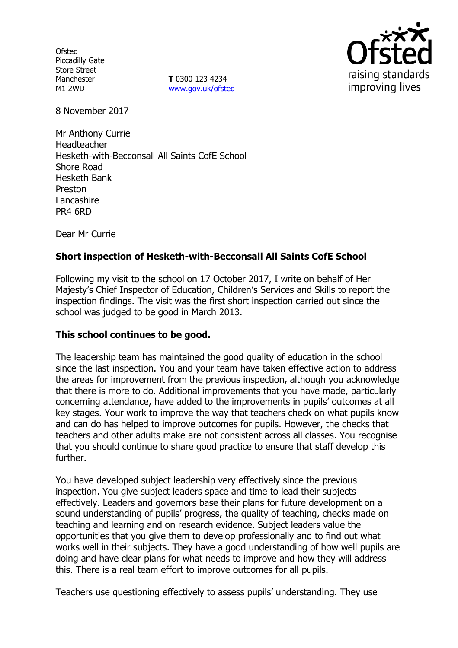**Ofsted** Piccadilly Gate Store Street Manchester M1 2WD

**T** 0300 123 4234 www.gov.uk/ofsted



8 November 2017

Mr Anthony Currie Headteacher Hesketh-with-Becconsall All Saints CofE School Shore Road Hesketh Bank Preston Lancashire PR4 6RD

Dear Mr Currie

# **Short inspection of Hesketh-with-Becconsall All Saints CofE School**

Following my visit to the school on 17 October 2017, I write on behalf of Her Majesty's Chief Inspector of Education, Children's Services and Skills to report the inspection findings. The visit was the first short inspection carried out since the school was judged to be good in March 2013.

### **This school continues to be good.**

The leadership team has maintained the good quality of education in the school since the last inspection. You and your team have taken effective action to address the areas for improvement from the previous inspection, although you acknowledge that there is more to do. Additional improvements that you have made, particularly concerning attendance, have added to the improvements in pupils' outcomes at all key stages. Your work to improve the way that teachers check on what pupils know and can do has helped to improve outcomes for pupils. However, the checks that teachers and other adults make are not consistent across all classes. You recognise that you should continue to share good practice to ensure that staff develop this further.

You have developed subject leadership very effectively since the previous inspection. You give subject leaders space and time to lead their subjects effectively. Leaders and governors base their plans for future development on a sound understanding of pupils' progress, the quality of teaching, checks made on teaching and learning and on research evidence. Subject leaders value the opportunities that you give them to develop professionally and to find out what works well in their subjects. They have a good understanding of how well pupils are doing and have clear plans for what needs to improve and how they will address this. There is a real team effort to improve outcomes for all pupils.

Teachers use questioning effectively to assess pupils' understanding. They use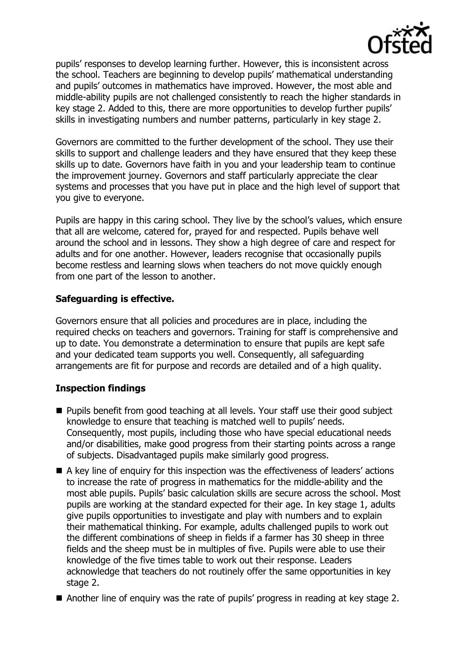

pupils' responses to develop learning further. However, this is inconsistent across the school. Teachers are beginning to develop pupils' mathematical understanding and pupils' outcomes in mathematics have improved. However, the most able and middle-ability pupils are not challenged consistently to reach the higher standards in key stage 2. Added to this, there are more opportunities to develop further pupils' skills in investigating numbers and number patterns, particularly in key stage 2.

Governors are committed to the further development of the school. They use their skills to support and challenge leaders and they have ensured that they keep these skills up to date. Governors have faith in you and your leadership team to continue the improvement journey. Governors and staff particularly appreciate the clear systems and processes that you have put in place and the high level of support that you give to everyone.

Pupils are happy in this caring school. They live by the school's values, which ensure that all are welcome, catered for, prayed for and respected. Pupils behave well around the school and in lessons. They show a high degree of care and respect for adults and for one another. However, leaders recognise that occasionally pupils become restless and learning slows when teachers do not move quickly enough from one part of the lesson to another.

# **Safeguarding is effective.**

Governors ensure that all policies and procedures are in place, including the required checks on teachers and governors. Training for staff is comprehensive and up to date. You demonstrate a determination to ensure that pupils are kept safe and your dedicated team supports you well. Consequently, all safeguarding arrangements are fit for purpose and records are detailed and of a high quality.

# **Inspection findings**

- **Pupils benefit from good teaching at all levels. Your staff use their good subject** knowledge to ensure that teaching is matched well to pupils' needs. Consequently, most pupils, including those who have special educational needs and/or disabilities, make good progress from their starting points across a range of subjects. Disadvantaged pupils make similarly good progress.
- A key line of enquiry for this inspection was the effectiveness of leaders' actions to increase the rate of progress in mathematics for the middle-ability and the most able pupils. Pupils' basic calculation skills are secure across the school. Most pupils are working at the standard expected for their age. In key stage 1, adults give pupils opportunities to investigate and play with numbers and to explain their mathematical thinking. For example, adults challenged pupils to work out the different combinations of sheep in fields if a farmer has 30 sheep in three fields and the sheep must be in multiples of five. Pupils were able to use their knowledge of the five times table to work out their response. Leaders acknowledge that teachers do not routinely offer the same opportunities in key stage 2.
- Another line of enquiry was the rate of pupils' progress in reading at key stage 2.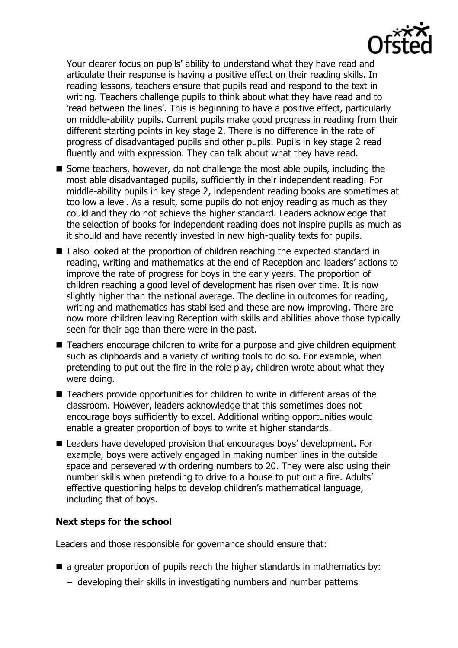Your clearer focus on pupils' ability to understand what they have read and articulate their response is having a positive effect on their reading skills. In reading lessons, teachers ensure that pupils read and respond to the text in writing. Teachers challenge pupils to think about what they have read and to 'read between the lines'. This is beginning to have a positive effect, particularly on middle-ability pupils. Current pupils make good progress in reading from their different starting points in key stage 2. There is no difference in the rate of progress of disadvantaged pupils and other pupils. Pupils in key stage 2 read fluently and with expression. They can talk about what they have read.

- Some teachers, however, do not challenge the most able pupils, including the most able disadvantaged pupils, sufficiently in their independent reading. For middle-ability pupils in key stage 2, independent reading books are sometimes at too low a level. As a result, some pupils do not enjoy reading as much as they could and they do not achieve the higher standard. Leaders acknowledge that the selection of books for independent reading does not inspire pupils as much as it should and have recently invested in new high-quality texts for pupils.
- I also looked at the proportion of children reaching the expected standard in reading, writing and mathematics at the end of Reception and leaders' actions to improve the rate of progress for boys in the early years. The proportion of children reaching a good level of development has risen over time. It is now slightly higher than the national average. The decline in outcomes for reading, writing and mathematics has stabilised and these are now improving. There are now more children leaving Reception with skills and abilities above those typically seen for their age than there were in the past.
- Teachers encourage children to write for a purpose and give children equipment such as clipboards and a variety of writing tools to do so. For example, when pretending to put out the fire in the role play, children wrote about what they were doing.
- Teachers provide opportunities for children to write in different areas of the classroom. However, leaders acknowledge that this sometimes does not encourage boys sufficiently to excel. Additional writing opportunities would enable a greater proportion of boys to write at higher standards.
- Leaders have developed provision that encourages boys' development. For example, boys were actively engaged in making number lines in the outside space and persevered with ordering numbers to 20. They were also using their number skills when pretending to drive to a house to put out a fire. Adults' effective questioning helps to develop children's mathematical language, including that of boys.

# **Next steps for the school**

Leaders and those responsible for governance should ensure that:

- $\blacksquare$  a greater proportion of pupils reach the higher standards in mathematics by:
	- developing their skills in investigating numbers and number patterns